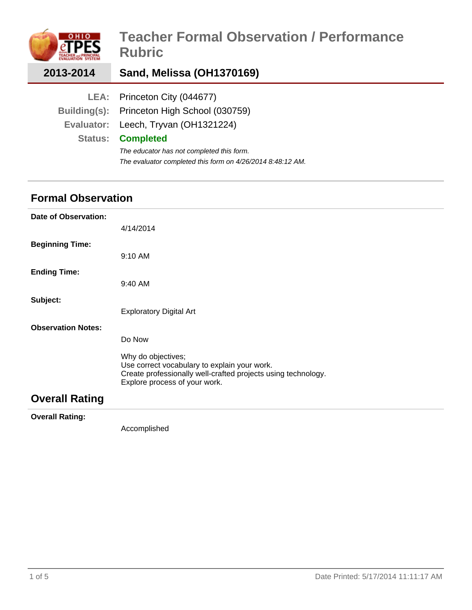|                | <b>Teacher Formal Observation / Performance</b><br><b>Rubric</b> |
|----------------|------------------------------------------------------------------|
| 2013-2014      | Sand, Melissa (OH1370169)                                        |
| LEA:           | Princeton City (044677)                                          |
|                | Building(s): Princeton High School (030759)                      |
| Evaluator:     | Leech, Tryvan (OH1321224)                                        |
| <b>Status:</b> | <b>Completed</b>                                                 |
|                | The educator has not completed this form.                        |
|                | The evaluator completed this form on 4/26/2014 8:48:12 AM.       |

## **Formal Observation**

| Date of Observation:      |                                                                                                                                                                      |
|---------------------------|----------------------------------------------------------------------------------------------------------------------------------------------------------------------|
|                           | 4/14/2014                                                                                                                                                            |
| <b>Beginning Time:</b>    |                                                                                                                                                                      |
|                           | 9:10 AM                                                                                                                                                              |
| <b>Ending Time:</b>       |                                                                                                                                                                      |
|                           | 9:40 AM                                                                                                                                                              |
| Subject:                  |                                                                                                                                                                      |
|                           | <b>Exploratory Digital Art</b>                                                                                                                                       |
| <b>Observation Notes:</b> |                                                                                                                                                                      |
|                           | Do Now                                                                                                                                                               |
|                           | Why do objectives;<br>Use correct vocabulary to explain your work.<br>Create professionally well-crafted projects using technology.<br>Explore process of your work. |
| <b>Overall Rating</b>     |                                                                                                                                                                      |
|                           |                                                                                                                                                                      |

**Overall Rating:**

Accomplished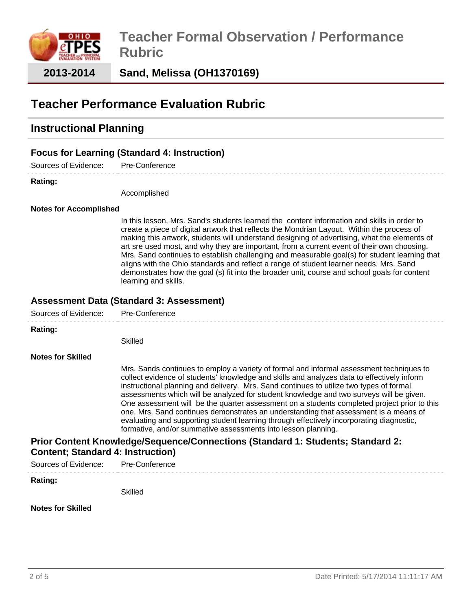

**Sand, Melissa (OH1370169)**

# **Teacher Performance Evaluation Rubric**

## **Instructional Planning**

## **Focus for Learning (Standard 4: Instruction)**

Sources of Evidence: Pre-Conference

#### **Rating:**

Accomplished

#### **Notes for Accomplished**

In this lesson, Mrs. Sand's students learned the content information and skills in order to create a piece of digital artwork that reflects the Mondrian Layout. Within the process of making this artwork, students will understand designing of advertising, what the elements of art sre used most, and why they are important, from a current event of their own choosing. Mrs. Sand continues to establish challenging and measurable goal(s) for student learning that aligns with the Ohio standards and reflect a range of student learner needs. Mrs. Sand demonstrates how the goal (s) fit into the broader unit, course and school goals for content learning and skills.

### **Assessment Data (Standard 3: Assessment)**

| Sources of Evidence:                     | Pre-Conference                                                                                                                                                                                                                                                                                                                                                                                                                                                                                                                                                                                                                                                                                                                   |
|------------------------------------------|----------------------------------------------------------------------------------------------------------------------------------------------------------------------------------------------------------------------------------------------------------------------------------------------------------------------------------------------------------------------------------------------------------------------------------------------------------------------------------------------------------------------------------------------------------------------------------------------------------------------------------------------------------------------------------------------------------------------------------|
| Rating:                                  |                                                                                                                                                                                                                                                                                                                                                                                                                                                                                                                                                                                                                                                                                                                                  |
|                                          | Skilled                                                                                                                                                                                                                                                                                                                                                                                                                                                                                                                                                                                                                                                                                                                          |
| <b>Notes for Skilled</b>                 |                                                                                                                                                                                                                                                                                                                                                                                                                                                                                                                                                                                                                                                                                                                                  |
|                                          | Mrs. Sands continues to employ a variety of formal and informal assessment techniques to<br>collect evidence of students' knowledge and skills and analyzes data to effectively inform<br>instructional planning and delivery. Mrs. Sand continues to utilize two types of formal<br>assessments which will be analyzed for student knowledge and two surveys will be given.<br>One assessment will be the quarter assessment on a students completed project prior to this<br>one. Mrs. Sand continues demonstrates an understanding that assessment is a means of<br>evaluating and supporting student learning through effectively incorporating diagnostic,<br>formative, and/or summative assessments into lesson planning. |
| <b>Content; Standard 4: Instruction)</b> | Prior Content Knowledge/Sequence/Connections (Standard 1: Students; Standard 2:                                                                                                                                                                                                                                                                                                                                                                                                                                                                                                                                                                                                                                                  |
| Sources of Evidence:                     | Pre-Conference                                                                                                                                                                                                                                                                                                                                                                                                                                                                                                                                                                                                                                                                                                                   |
| Rating:                                  |                                                                                                                                                                                                                                                                                                                                                                                                                                                                                                                                                                                                                                                                                                                                  |
|                                          | Skilled                                                                                                                                                                                                                                                                                                                                                                                                                                                                                                                                                                                                                                                                                                                          |

#### **Notes for Skilled**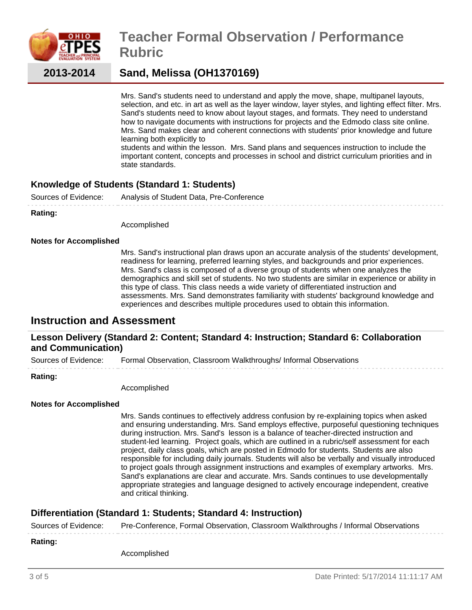

# **Teacher Formal Observation / Performance Rubric**

**2013-2014**

## **Sand, Melissa (OH1370169)**

Mrs. Sand's students need to understand and apply the move, shape, multipanel layouts, selection, and etc. in art as well as the layer window, layer styles, and lighting effect filter. Mrs. Sand's students need to know about layout stages, and formats. They need to understand how to navigate documents with instructions for projects and the Edmodo class site online. Mrs. Sand makes clear and coherent connections with students' prior knowledge and future learning both explicitly to

students and within the lesson. Mrs. Sand plans and sequences instruction to include the important content, concepts and processes in school and district curriculum priorities and in state standards.

## **Knowledge of Students (Standard 1: Students)**

Sources of Evidence: Analysis of Student Data, Pre-Conference

**Rating:**

Accomplished

#### **Notes for Accomplished**

Mrs. Sand's instructional plan draws upon an accurate analysis of the students' development, readiness for learning, preferred learning styles, and backgrounds and prior experiences. Mrs. Sand's class is composed of a diverse group of students when one analyzes the demographics and skill set of students. No two students are similar in experience or ability in this type of class. This class needs a wide variety of differentiated instruction and assessments. Mrs. Sand demonstrates familiarity with students' background knowledge and experiences and describes multiple procedures used to obtain this information.

## **Instruction and Assessment**

### **Lesson Delivery (Standard 2: Content; Standard 4: Instruction; Standard 6: Collaboration and Communication)**

Sources of Evidence: Formal Observation, Classroom Walkthroughs/ Informal Observations

#### **Rating:**

Accomplished

#### **Notes for Accomplished**

Mrs. Sands continues to effectively address confusion by re-explaining topics when asked and ensuring understanding. Mrs. Sand employs effective, purposeful questioning techniques during instruction. Mrs. Sand's lesson is a balance of teacher-directed instruction and student-led learning. Project goals, which are outlined in a rubric/self assessment for each project, daily class goals, which are posted in Edmodo for students. Students are also responsible for including daily journals. Students will also be verbally and visually introduced to project goals through assignment instructions and examples of exemplary artworks. Mrs. Sand's explanations are clear and accurate. Mrs. Sands continues to use developmentally appropriate strategies and language designed to actively encourage independent, creative and critical thinking.

## **Differentiation (Standard 1: Students; Standard 4: Instruction)**

Sources of Evidence: Pre-Conference, Formal Observation, Classroom Walkthroughs / Informal Observations

#### **Rating:**

Accomplished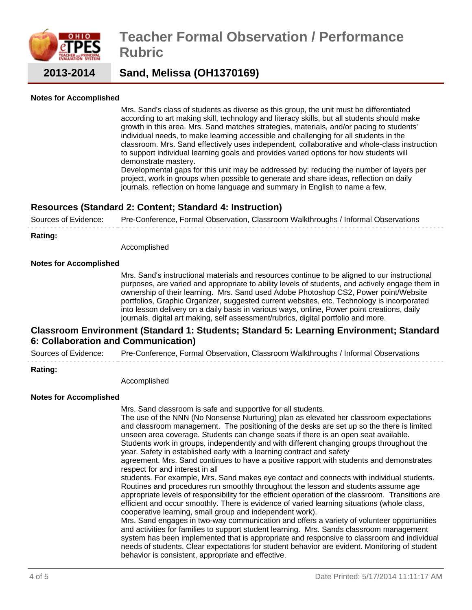

# **Teacher Formal Observation / Performance Rubric**

**2013-2014**

**Sand, Melissa (OH1370169)**

#### **Notes for Accomplished**

Mrs. Sand's class of students as diverse as this group, the unit must be differentiated according to art making skill, technology and literacy skills, but all students should make growth in this area. Mrs. Sand matches strategies, materials, and/or pacing to students' individual needs, to make learning accessible and challenging for all students in the classroom. Mrs. Sand effectively uses independent, collaborative and whole-class instruction to support individual learning goals and provides varied options for how students will demonstrate mastery.

Developmental gaps for this unit may be addressed by: reducing the number of layers per project, work in groups when possible to generate and share ideas, reflection on daily journals, reflection on home language and summary in English to name a few.

## **Resources (Standard 2: Content; Standard 4: Instruction)**

Sources of Evidence: Pre-Conference, Formal Observation, Classroom Walkthroughs / Informal Observations

#### **Rating:**

Accomplished

#### **Notes for Accomplished**

Mrs. Sand's instructional materials and resources continue to be aligned to our instructional purposes, are varied and appropriate to ability levels of students, and actively engage them in ownership of their learning. Mrs. Sand used Adobe Photoshop CS2, Power point/Website portfolios, Graphic Organizer, suggested current websites, etc. Technology is incorporated into lesson delivery on a daily basis in various ways, online, Power point creations, daily journals, digital art making, self assessment/rubrics, digital portfolio and more.

### **Classroom Environment (Standard 1: Students; Standard 5: Learning Environment; Standard 6: Collaboration and Communication)**

Sources of Evidence: Pre-Conference, Formal Observation, Classroom Walkthroughs / Informal Observations

behavior is consistent, appropriate and effective.

#### **Rating:**

Accomplished

#### **Notes for Accomplished**

Mrs. Sand classroom is safe and supportive for all students. The use of the NNN (No Nonsense Nurturing) plan as elevated her classroom expectations and classroom management. The positioning of the desks are set up so the there is limited unseen area coverage. Students can change seats if there is an open seat available. Students work in groups, independently and with different changing groups throughout the year. Safety in established early with a learning contract and safety agreement. Mrs. Sand continues to have a positive rapport with students and demonstrates respect for and interest in all students. For example, Mrs. Sand makes eye contact and connects with individual students. Routines and procedures run smoothly throughout the lesson and students assume age appropriate levels of responsibility for the efficient operation of the classroom. Transitions are efficient and occur smoothly. There is evidence of varied learning situations (whole class, cooperative learning, small group and independent work). Mrs. Sand engages in two-way communication and offers a variety of volunteer opportunities and activities for families to support student learning. Mrs. Sands classroom management system has been implemented that is appropriate and responsive to classroom and individual needs of students. Clear expectations for student behavior are evident. Monitoring of student